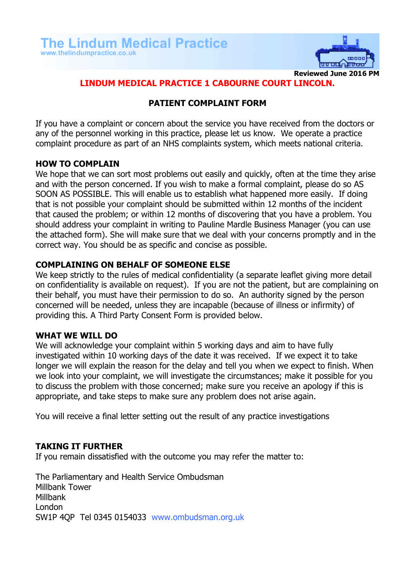

**Reviewed June 2016 PM**

## **LINDUM MEDICAL PRACTICE 1 CABOURNE COURT LINCOLN.**

## **PATIENT COMPLAINT FORM**

If you have a complaint or concern about the service you have received from the doctors or any of the personnel working in this practice, please let us know. We operate a practice complaint procedure as part of an NHS complaints system, which meets national criteria.

### **HOW TO COMPLAIN**

We hope that we can sort most problems out easily and quickly, often at the time they arise and with the person concerned. If you wish to make a formal complaint, please do so AS SOON AS POSSIBLE. This will enable us to establish what happened more easily. If doing that is not possible your complaint should be submitted within 12 months of the incident that caused the problem; or within 12 months of discovering that you have a problem. You should address your complaint in writing to Pauline Mardle Business Manager (you can use the attached form). She will make sure that we deal with your concerns promptly and in the correct way. You should be as specific and concise as possible.

### **COMPLAINING ON BEHALF OF SOMEONE ELSE**

We keep strictly to the rules of medical confidentiality (a separate leaflet giving more detail on confidentiality is available on request). If you are not the patient, but are complaining on their behalf, you must have their permission to do so. An authority signed by the person concerned will be needed, unless they are incapable (because of illness or infirmity) of providing this. A Third Party Consent Form is provided below.

#### **WHAT WE WILL DO**

We will acknowledge your complaint within 5 working days and aim to have fully investigated within 10 working days of the date it was received. If we expect it to take longer we will explain the reason for the delay and tell you when we expect to finish. When we look into your complaint, we will investigate the circumstances; make it possible for you to discuss the problem with those concerned; make sure you receive an apology if this is appropriate, and take steps to make sure any problem does not arise again.

You will receive a final letter setting out the result of any practice investigations

#### **TAKING IT FURTHER**

If you remain dissatisfied with the outcome you may refer the matter to:

The Parliamentary and Health Service Ombudsman Millbank Tower Millbank London SW1P 4QP Tel 0345 0154033 [www.ombudsman.org.uk](http://www.ombudsman.org.uk/)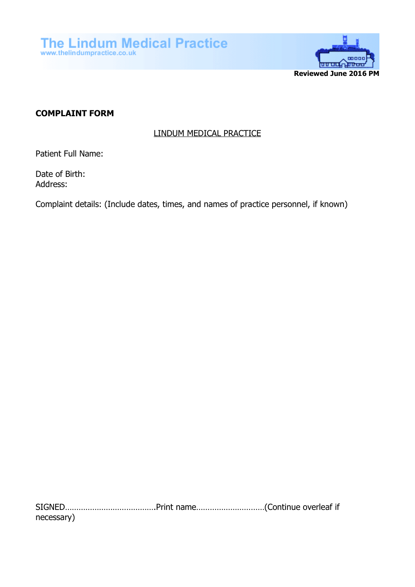

# **COMPLAINT FORM**

## LINDUM MEDICAL PRACTICE

Patient Full Name:

Date of Birth: Address:

Complaint details: (Include dates, times, and names of practice personnel, if known)

SIGNED………………………………….Print name…………………………(Continue overleaf if necessary)